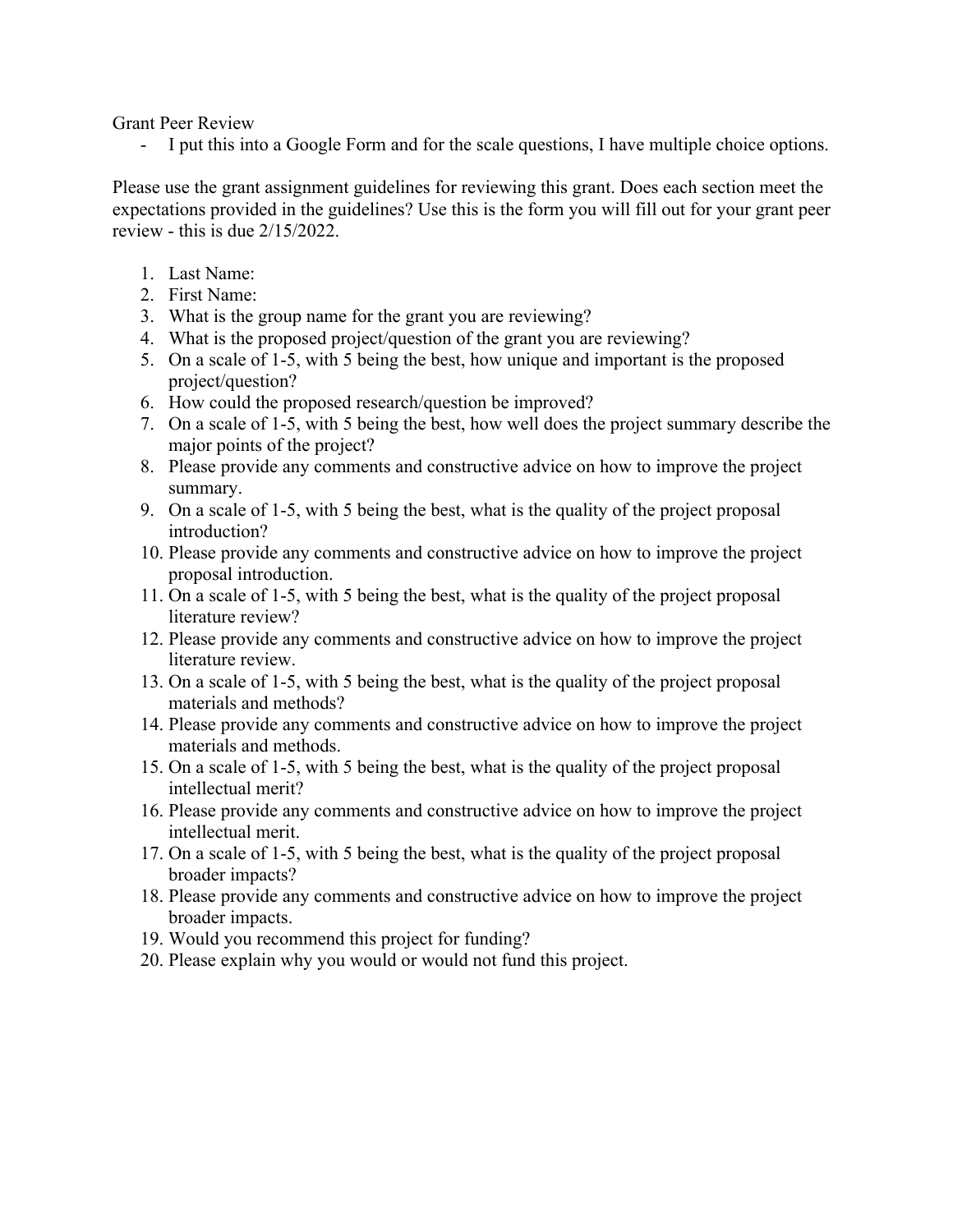Grant Peer Review

- I put this into a Google Form and for the scale questions, I have multiple choice options.

Please use the grant assignment guidelines for reviewing this grant. Does each section meet the expectations provided in the guidelines? Use this is the form you will fill out for your grant peer review - this is due 2/15/2022.

- 1. Last Name:
- 2. First Name:
- 3. What is the group name for the grant you are reviewing?
- 4. What is the proposed project/question of the grant you are reviewing?
- 5. On a scale of 1-5, with 5 being the best, how unique and important is the proposed project/question?
- 6. How could the proposed research/question be improved?
- 7. On a scale of 1-5, with 5 being the best, how well does the project summary describe the major points of the project?
- 8. Please provide any comments and constructive advice on how to improve the project summary.
- 9. On a scale of 1-5, with 5 being the best, what is the quality of the project proposal introduction?
- 10. Please provide any comments and constructive advice on how to improve the project proposal introduction.
- 11. On a scale of 1-5, with 5 being the best, what is the quality of the project proposal literature review?
- 12. Please provide any comments and constructive advice on how to improve the project literature review.
- 13. On a scale of 1-5, with 5 being the best, what is the quality of the project proposal materials and methods?
- 14. Please provide any comments and constructive advice on how to improve the project materials and methods.
- 15. On a scale of 1-5, with 5 being the best, what is the quality of the project proposal intellectual merit?
- 16. Please provide any comments and constructive advice on how to improve the project intellectual merit.
- 17. On a scale of 1-5, with 5 being the best, what is the quality of the project proposal broader impacts?
- 18. Please provide any comments and constructive advice on how to improve the project broader impacts.
- 19. Would you recommend this project for funding?
- 20. Please explain why you would or would not fund this project.